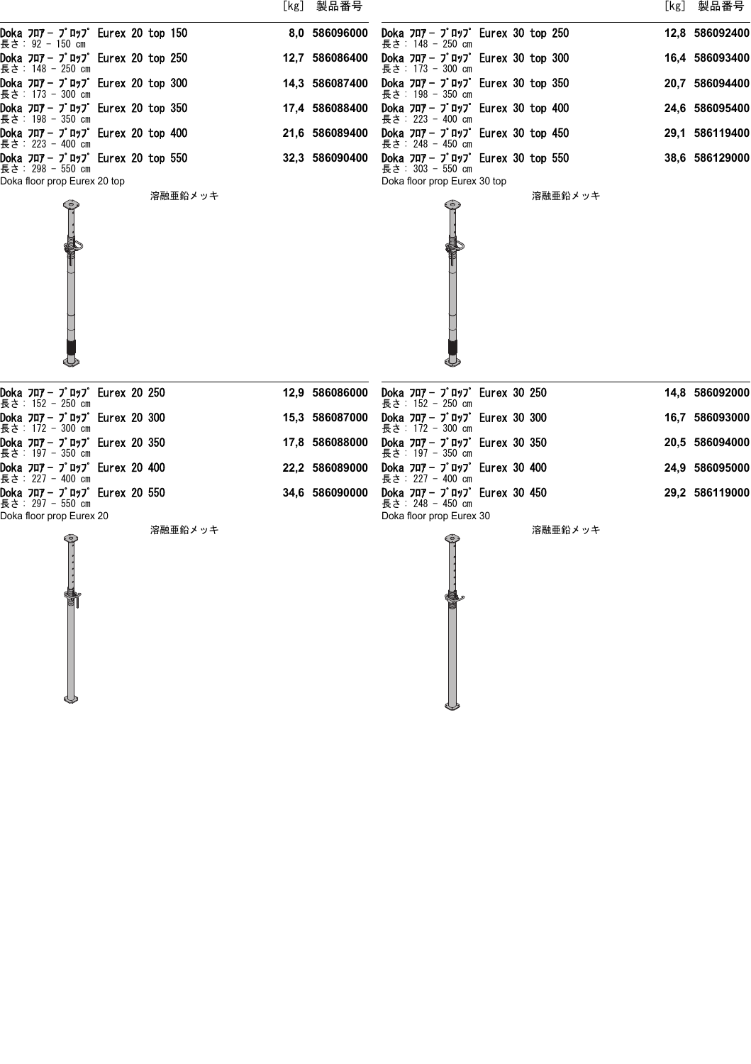|  |                                                     |  |         | [kg] 製品番号      |  |                                                                            |  |         | [kg] 製品番号      |
|--|-----------------------------------------------------|--|---------|----------------|--|----------------------------------------------------------------------------|--|---------|----------------|
|  | Doka フロアー プロップ Eurex 20 top 150<br>長さ: 92 - 150 cm  |  |         | 8.0 586096000  |  | Doka フロア - プロップ Eurex 30 top 250<br>長さ: 148 - 250 cm                       |  |         | 12,8 586092400 |
|  | Doka フロア- プロップ Eurex 20 top 250<br>長さ: 148 - 250 cm |  |         | 12,7 586086400 |  | Doka $7\pi$ 7 $ 7$ $\pi$ y $7$ Eurex 30 top 300<br>長さ: 173 - 300 cm        |  |         | 16,4 586093400 |
|  | Doka フロア-プロップ Eurex 20 top 300<br>長さ: 173 - 300 cm  |  |         | 14,3 586087400 |  | Doka $7\pi$ 7 - $7^{\circ}$ Furex 30 top 350<br>長さ: 198 - 350 cm           |  |         | 20,7 586094400 |
|  | Doka フロア- プロップ Eurex 20 top 350<br>長さ: 198 - 350 cm |  |         | 17,4 586088400 |  | Doka $7\pi$ 7 - $7^{\circ}$ $\pi$ y7° Eurex 30 top 400<br>長さ: 223 - 400 cm |  |         | 24,6 586095400 |
|  | Doka フロア- プロップ Eurex 20 top 400<br>長さ: 223 - 400 cm |  |         | 21,6 586089400 |  | Doka $7\pi$ 7 - $7^{\circ}$ $\pi$ y7° Eurex 30 top 450<br>長さ: 248 - 450 cm |  |         | 29,1 586119400 |
|  | Doka フロア-プロップ Eurex 20 top 550<br>長さ: 298 - 550 cm  |  |         | 32,3 586090400 |  | Doka フロア - プロップ Eurex 30 top 550<br>長さ: 303 - 550 cm                       |  |         | 38,6 586129000 |
|  | Doka floor prop Eurex 20 top                        |  | 溶融亜鉛メッキ |                |  | Doka floor prop Eurex 30 top                                               |  | 溶融亜鉛メッキ |                |
|  | Doka フロアー プロップ Eurex 20 250<br>長さ: 152 - 250 cm     |  |         | 12,9 586086000 |  | Doka フロアー プロップ Eurex 30 250<br>長さ:152 - 250 cm                             |  |         | 14,8 586092000 |
|  | Doka フロア-プロップ Eurex 20 300<br>長さ: 172 - 300 cm      |  |         | 15,3 586087000 |  | Doka $7\pi$ 7 - $7^{\circ}$ $\pi$ y7 Eurex 30 300<br>長さ:172 - 300 cm       |  |         | 16,7 586093000 |
|  | Doka フロア- プロップ Eurex 20 350<br>長さ:197 - 350 cm      |  |         | 17,8 586088000 |  | Doka $7\pi$ 7 - $7^{\circ}$ $\pi$ y7° Eurex 30 350<br>長さ:197 - 350 cm      |  |         | 20,5 586094000 |
|  | Doka フロア-プロップ Eurex 20 400<br>長さ: 227 - 400 cm      |  |         | 22,2 586089000 |  | Doka $7\pi$ 7 - $7\pi$ , $7\pi$ Eurex 30 400<br>長さ: 227 - 400 cm           |  |         | 24,9 586095000 |
|  | Doka フロアー プロップ Eurex 20 550<br>長さ: 297 - 550 cm     |  |         | 34,6 586090000 |  | Doka $7\pi$ 7 - $7^{\circ}$ $\pi$ y7° Eurex 30 450<br>長さ: 248 - 450 cm     |  |         | 29,2 586119000 |
|  | Doka floor prop Eurex 20                            |  | 溶融亜鉛メッキ |                |  | Doka floor prop Eurex 30                                                   |  | 溶融亜鉛メッキ |                |
|  |                                                     |  |         |                |  |                                                                            |  |         |                |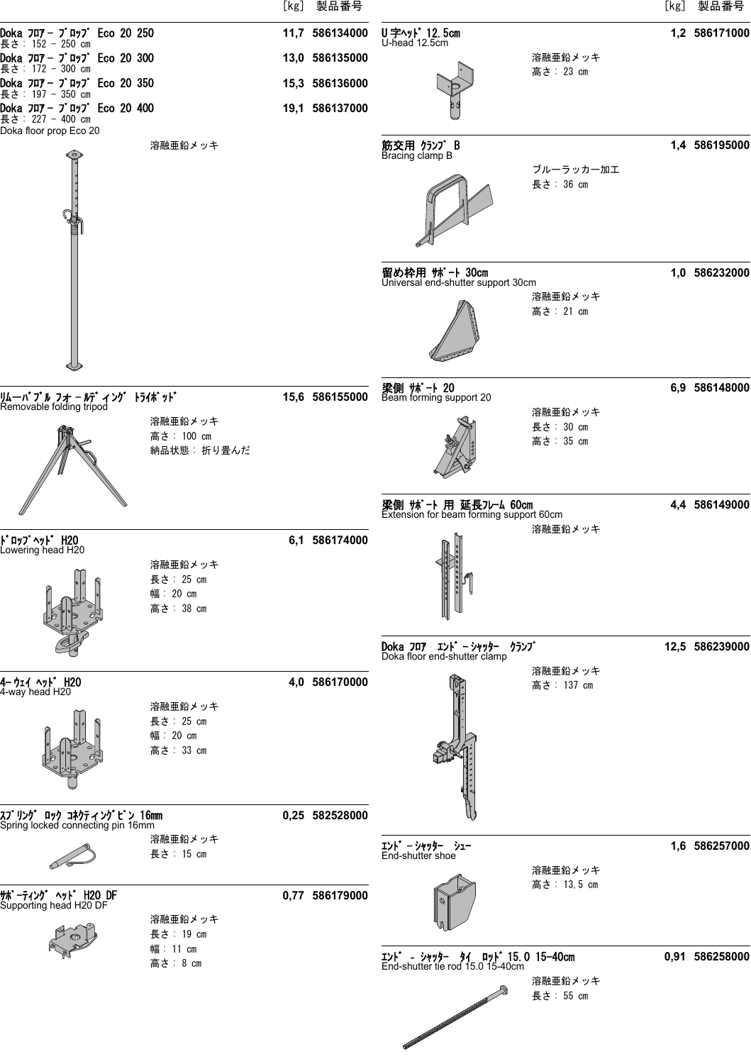